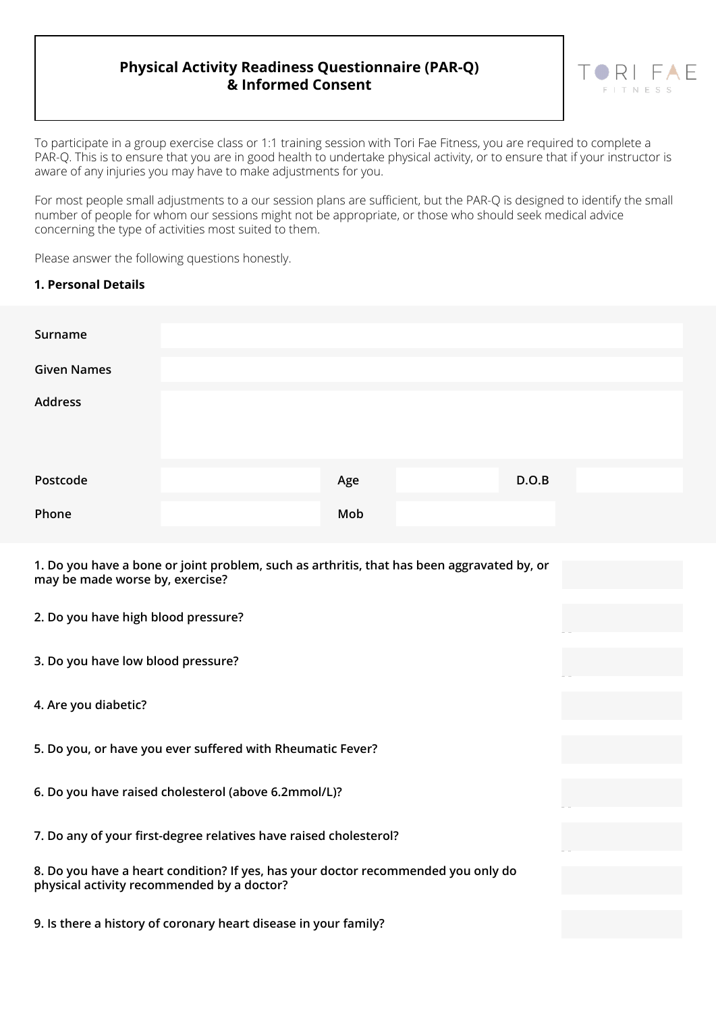## **Physical Activity Readiness Questionnaire (PAR-Q) & Informed Consent**

To participate in a group exercise class or 1:1 training session with Tori Fae Fitness, you are required to complete a PAR-Q. This is to ensure that you are in good health to undertake physical activity, or to ensure that if your instructor is aware of any injuries you may have to make adjustments for you.

For most people small adjustments to a our session plans are sufficient, but the PAR-Q is designed to identify the small number of people for whom our sessions might not be appropriate, or those who should seek medical advice concerning the type of activities most suited to them.

Please answer the following questions honestly.

## **1. Personal Details**

| Surname            |     |       |
|--------------------|-----|-------|
| <b>Given Names</b> |     |       |
| <b>Address</b>     |     |       |
| Postcode           | Age | D.O.B |
| Phone              | Mob |       |

Yes NoYes NoYes NoYes NoYes NoYes No

 $R<sub>1</sub>$ 

**1. Do you have a bone or joint problem, such as arthritis, that has been aggravated by, or may be made worse by, exercise?**

- **2. Do you have high blood pressure?**
- **3. Do you have low blood pressure?**
- **4. Are you diabetic?**
- **5. Do you, or have you ever suffered with Rheumatic Fever?**
- **6. Do you have raised cholesterol (above 6.2mmol/L)?**
- **7. Do any of your first-degree relatives have raised cholesterol?**

|                                            | 8. Do you have a heart condition? If yes, has your doctor recommended you only do |
|--------------------------------------------|-----------------------------------------------------------------------------------|
| physical activity recommended by a doctor? |                                                                                   |

**9. Is there a history of coronary heart disease in your family?**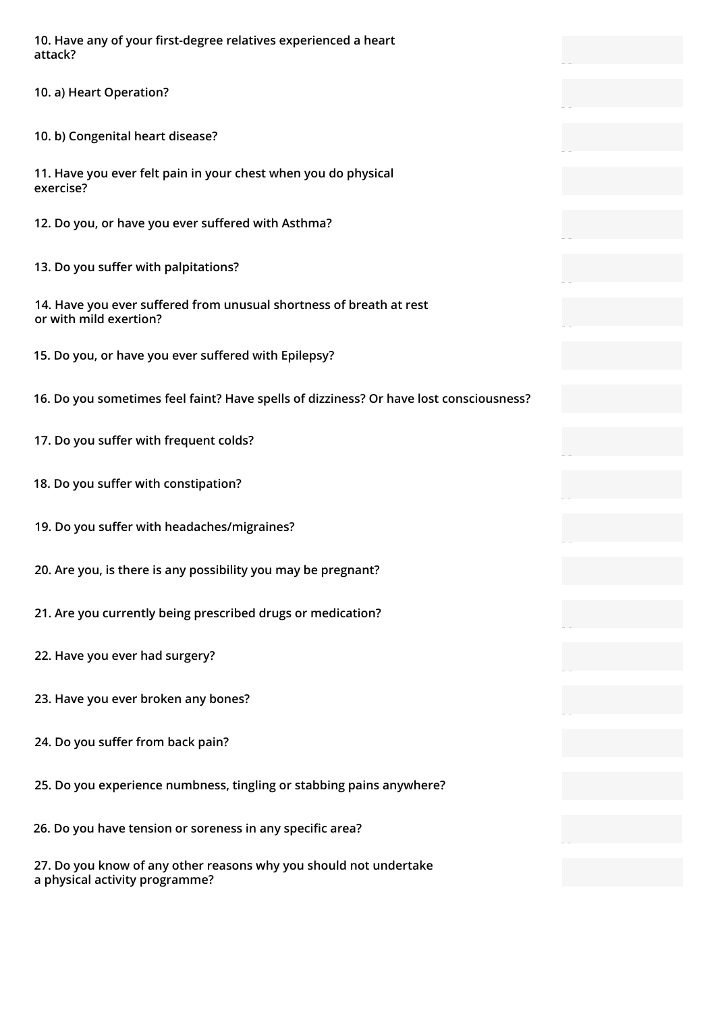**10. Have any of your first-degree relatives experienced a heart attack?**

**10. a) Heart Operation?**

**10. b) Congenital heart disease?**

**11. Have you ever felt pain in your chest when you do physical exercise?**

**12. Do you, or have you ever suffered with Asthma?**

**13. Do you suffer with palpitations?**

**14. Have you ever suffered from unusual shortness of breath at rest or with mild exertion?**

**15. Do you, or have you ever suffered with Epilepsy?**

**16. Do you sometimes feel faint? Have spells of dizziness? Or have lost consciousness?**

Yes NoYes NoYes NoYes NoYes NoYes No

Yes NoYes NoYes No

Yes NoYes NoYes No

Yes NoYes NoYes NoYes NoYes NoYes NoYes NoYes No

- **17. Do you suffer with frequent colds?**
- **18. Do you suffer with constipation?**
- **19. Do you suffer with headaches/migraines?**
- **20. Are you, is there is any possibility you may be pregnant?**
- **21. Are you currently being prescribed drugs or medication?**
- **22. Have you ever had surgery?**
- **23. Have you ever broken any bones?**
- **24. Do you suffer from back pain?**
- **25. Do you experience numbness, tingling or stabbing pains anywhere?**
- **26. Do you have tension or soreness in any specific area?**

**27. Do you know of any other reasons why you should not undertake a physical activity programme?**